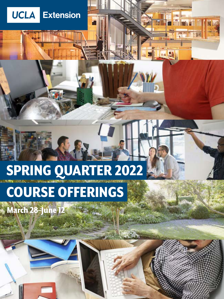# SPRING QUARTER 2022

# COURSE OFFERINGS

March 28–June 12

**Community** 

**UCLA** 

**Extension** 

 $x \triangleq x$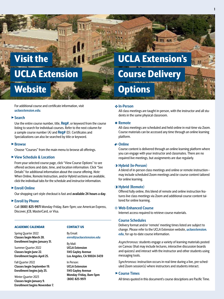## Visit the UCLA Extension **Website**

For additional course and certificate information, visit *[uclaextension.edu](https://www.uclaextension.edu/).*

## ▶ Search

Use the entire course number, title, **Reg#**, or keyword from the course listing to search for individual courses. Refer to the next column for a sample course number (A) and **Reg#** (D). Certificates and Specializations can also be searched by title or keyword.

## ► Browse

Choose "Courses" from the main menu to browse all offerings.

## ▶ View Schedule & Location

From your selected course page, click "View Course Options" to see offered sections and date, time, and location information. Click "See Details" for additional information about the course offering. *Note:* When Online, Remote Instruction, and/or Hybrid sections are available, click the individual tabs for the schedule and instructor information.

## ► Enroll Online

Our shopping cart-style checkout is fast and **available 24 hours a day**.

## ► Enroll by Phone

Call **(800) 825-9971** Monday–Friday, 8am–5pm; use American Express, Discover, JCB, MasterCard, or Visa.

## ACADEMIC CALENDAR

## CONTACT US

Spring Quarter 2022 **Classes begin March 28. Enrollment begins January 31.**

Summer Quarter 2022 **Classes begin June 22. Enrollment begins April 25.**

Fall Quarter 2022 **Classes begin September 19. Enrollment begins July 25.**

Winter Quarter 2023 **Classes begin January 9. Enrollment begins November 7.** By Email: *[enroll@uclaextension.edu](mailto:enroll%40uclaextension.edu?subject=Enrollment%20Inquiries)*

By Mail: **UCLA Extension 1145 Gayley Avenue Los Angeles, CA 90024-3439**

In Person: **UCLA Extension 1145 Gayley Avenue Monday–Friday, 8am-5pm (800) 825-9971**

## UCLA Extension's Course Delivery **Options**

## v**In-Person**

**In Market** 

All class meetings are taught in-person, with the instructor and all students in the same physical classroom.

**m** ea

## A **Remote**

All class meetings are scheduled and held online in real-time via Zoom. Course materials can be accessed any time through an online learning platform.

## <sup>m</sup>**Online**

Course content is delivered through an online learning platform where you can engage with your instructor and classmates. There are no required live meetings, but assignments are due regularly.

## *<b>* Hybrid (In-Person)

A blend of in-person class meetings and online or remote instruction may include scheduled Zoom meetings and/or course content tailored for online learning.

## $\blacksquare$  **Hybrid (Remote)**

Offered fully online, this blend of remote and online instruction features live class meetings via Zoom and additional course content tailored for online learning.

## $\oplus$  Web-Enhanced Course

Internet access required to retrieve course materials.

## **Course Schedules**

Delivery format and/or 'remote' meeting times listed are subject to change. Please refer to the UCLA Extension website, *[uclaextension.](https://www.uclaextension.edu/) [edu](https://www.uclaextension.edu/)*, for up-to-date course information.

*Asynchronous:* students engage a variety of learning materials posted on Canvas (that may include lectures, interactive discussion boards and quizzes) and interact with the instructor and other students using messaging tools.

*Synchronous:* instruction occurs in-real time during a live, pre-scheduled Zoom session(s) where instructors and students interact.

## ► Course Times

All times quoted in this document's course desciptions are Pacific Time.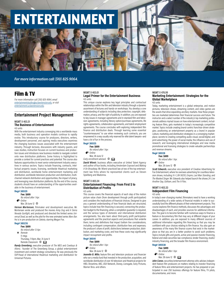# ENTERTAINMENT

*For more information call (310) 825-9064.* 

## Film & TV

*For more information call (310) 825-9064, email [entertainmentstudies@uclaextension.edu,](mailto:entertainmentstudies%40uclaextension.edu?subject=Film%20and%20TV%20Courses) or visit [entertainment.uclaextension.edu](https://entertainment.uclaextension.edu/).* 

## **Entertainment Project Management**

#### MGMT X 403.31 **The Business of Entertainment** 4.0 units

With the entertainment industry converging into a worldwide mass media, both business and operation models continue to rapidly evolve. This introductory course for producers, directors, writers, development personnel, and aspiring media executives examines the changing business issues associated with the entertainment industry. Through lectures, discussions with industry guests, and case studies, instruction focuses on current business and production issues and introduces new business models to navigate content onto new distribution platforms. Some history is highlighted to provide a context for current practices and potential. The course also features opportunities to meet senior entertainment industry executives in various sectors. Topics include financing, contracts, intellectual property issues, licensing, worldwide theatrical marketing and distribution, worldwide home entertainment marketing and distribution, worldwide television production and distribution, multichannel network distribution and opportunities, the impact of piracy, and leveraging new distribution platforms. By the end of the course, students should have an understanding of the opportunities available in the business of entertainment.

## **Reg# 385129**

**Fee: \$699** *No refund after 1 Apr.*

- m*Online*
- Mar. 28-June 12 **①**

*Vernon Mortensen*, filmmaker and development executive. Mr. Mortensen wrote and produced the movies *Army Dog* and *A Sierra Nevada Gunfight*, and produced and directed the limited series *Universal Dead*, as well as the pilot for the new animated series *Mars Bar*. He is in pre-production on *Dakota*, starring Megan Fox.

#### **Reg# 385235**

- **Fee: \$699**
- *No refund after 13 Apr.* ❖ *Remote* 11 mtgs Thursday, 7-10pm, Mar. 31-June 9

#### Remote Classroom <sup>@</sup>

*Randy Greenberg*, executive producer of *The MEG* and *Cowboys & Aliens*; founder of The Greenberg Group, a global entertainment investment and content strategy consultancy. He was previously the SVP/head of international theatrical marketing and distribution for Universal Pictures*.*

#### MGMT X 403.01 **Legal Primer for the Entertainment Business** 4.0 units

Enroll at [uclaextension.edu](https://www.uclaextension.edu/) or call (800) 825-9971 [Entertainment](https://www.uclaextension.edu/entertainment) **47**

This unique course explores key legal principles and contractual relationships within the film and television industry through a dynamic assortment of lectures and hands-on workshops. You develop a core understanding of subjects including idea protection, copyright, defamation, privacy, and the right of publicity. In addition, you are exposed to key issues in manager agreements and in standard film and television agreements, including literary option/purchase agreements, life rights agreements, collaboration agreements, and talent employment agreements. The course concludes with exploring independent film finance and distribution deals. Through learning some essential "countermeasures" to use when reviewing such contracts, you are empowered in a way usually only reserved for elite talent lawyers—and have a lot of fun in the process.

## **Reg# 385125**



*Early enrollment advised.*  $\oplus$   $\Box$ 

*David Wienir*, business affairs executive at United Talent Agency and author of four books, including *Amsterdam Exposed* and *Making It On Broadway*. Mr. Wienir practiced law at two of the top entertainment law firms where he represented clients such as Steven Spielberg and Madonna.

#### MGMT X 403.34 **Entertainment Financing: From First \$ to Distribution of Profits**

4.0 units

This course covers the financial aspects of each step of the motion picture value chain (from development through profit participation) and considers the implications of financial choices. Designed to give you a general understanding of how financial deals are structured, topics include how film financing is secured, connecting the production budget to the financing, when a completion guarantor is required, and the various types of domestic and international distribution arrangements. You also learn about third-party profit participation agreements and the practical aspects and procedures that underlie them; terms and definitions that impact bottom line considerations, including contingent compensation; distribution fees and expenses; the producer's share of profit; distinctions between production, distribution, and marketing costs; and how these costs may significantly impact recoupment and profits.

#### **Reg# 385141 Fee: \$699**

*No refund after 1 Apr.*

m*Online*

Mar. 28-June 12  $\oplus$ 

*Jeanette B. Milio*, feature film and television producer and financier who ran a media fund that invested in the production, acquisition, and worldwide distribution of over 40 television and theatrical projects for HBO, Showtime, ABC, USA Network, Disney, Lionsgate, Sony Pictures, Warner Bros. and others.

## MGMT X 476.99

## **Marketing Entertainment: Strategies for the Global Marketplace**

4.0 units

Today, marketing entertainment is a global enterprise, and motion pictures, television shows, streaming content, and video games are the assets that drive expanding ancillary markets. How these properties are marketed determines their financial success and future. The instructor and a select number of the industry's top marketing professionals address myriad issues on how entertainment content, including feature films, gets marketed in today's increasingly competitive market. Topics include creating brand-centric franchise-driven strategies; positioning an entertainment property as a brand in popular culture; marketing and distribution strategies in a converging marketplace; secrets to creating compelling audio-visual, social/digital, and print advertising; the power of social media; the influence and use of research; and leveraging international strategies and new media promotional and licensing strategies to create valuable partnerships and revenue streams.

#### **Reg# 385128**

#### **Fee: \$699**

*No refund after 1 Apr.*

m*Online*

#### Mar. 28-June 12 <sup>@</sup>

*Scott Edwards*, executive vice president of Creative Advertising for Fox Entertainment, where he oversees advertising for countless television shows, including *9-1-1*, *BH 90210*, *Empire*, *Last Man Standing*, and *The Masked Singer*. Mr. Edwards also helped launch the shows *24: Live Another Day*, *Gotham*, and *The X-Files*.

#### MGMT X 403.33

#### **Independent Film Financing** 4.0 units

In today's ever-changing market, filmmakers need to have a working understanding of a wide variety of financial models in order to successfully fund the different phases of their entertainment projects. This course explores film finance methods, discusses the advantages and disadvantages of each, and provides sources for additional information. The goal is to become familiar with numerous ways to finance a feature or documentary film that may vary at different stages of your career. In addition, you are exposed to many different sources of additional information regarding film financing so that you may be confident with your choices relating to film finance. You also gain an awareness of the many film finance scams that exist in the marketplace so that you are in a better position to avoid such problems. Topics include gifts and grants, active and passive investor financing, federal and state securities law compliance, lender financing, studio/ industry financing, and the broader film finance environment.

## **Reg# 385538**

**Fee: \$699** *No refund after 1 Apr.*

m*Online*

Mar. 28-June 12  $\oplus$   $\Box$ 

*John Cones*, securities/entertainment attorney who advises independent feature film producers on matters relating to investor financing of feature films and entertainment projects. He has prepared or participated in over 250 business offerings for feature films, TV pilots, documentaries, and more.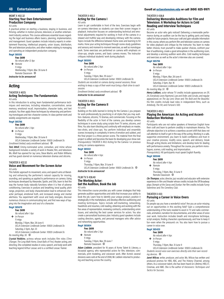#### MGMT X 402.32 **Starting Your Own Entertainment Production Company**

4.0 units

A practical primer on starting a business, staying in business, and thriving—whether in motion pictures, television, or another entertainment industry venture. This course addresses essential issues regarding the legal and business affairs basics, planning, implementation, and management. Guest speakers include industry experts in entertainment financing, intellectual property, union issues, distribution, film and television production, and other matters relating to managing and operating an independent production company.

## **Reg# 385510**

**Fee: \$699**

*No refund after 12 Apr.* ❖ *Remote* 11 mtgs Wednesday, 7-10pm, Mar. 30-June 8 Remote Classroom  $@$ 

*Instructor to be announced* 

## **Acting**

#### THEATER X 407.5 **Acting Techniques: The Fundamentals** 4.0 units

In this introduction to acting, learn fundamental performance techniques and exercises, including relaxation, concentration, sense memory, emotional recall, improvisation, character tasks, and text analysis. You then apply these techniques by rehearsing and performing monologues and two-character scenes. In-class partner work and weekly assignments are required.

## **Reg# 385786**

**Fee: \$699** *No refund after 3 Apr.*

❖ *In-Person*

- 11 mtgs
- Wednesday, 7-10pm, Mar. 30-June 8

UCLA Extension Lindbrook Center: 10920 Lindbrook Dr.

*Enrollment limited; early enrollment advised.* c

*Toni Attell*, Emmy-nominated actor, comedian, and mime whose background includes a variety of work in theater, film, and television. Ms. Attell has opened for Jay Leno, Steve Martin, and Robin Williams and has guest-starred on numerous television dramas and sitcoms.

## THEATER X 422.12

#### **Voice and Movement for the Screen Actor** 4.0 units

This holistic approach to movement, voice, and speech aims at liberating and enhancing the performer's natural capacity for moving, sounding, and speaking as applied to performance on camera. Using techniques developed by Alexander, Spolin, and Sills, learn to feel the way the human body naturally functions when it is free of adverse conditioning. Exercises in posture and breathing, tonal quality, pitch range, projection, and body characterization lead to enhanced character portrayal, emotional truth, and increased energy and mental alertness. You experiment with vocal and body energies, discover numerous choices in communicating text, and find new ways of tapping into the imagination and soul of a character.

## **Reg# 385678**

**Fee: \$699**

- *No refund after 1 Apr.* ❖ *In-Person*
- 11 mtgs

Monday, 7-10pm, Mar. 28-June 6 UCLA Extension Lindbrook Center: 10920 Lindbrook Dr.

Saturday, 2-5pm, Apr. 23

UCLA Extension Lindbrook Center: 10920 Lindbrook Dr.

## *No meeting May 30.*  $\circledast$

*Crystal Robbins*, actress whose work includes film roles (*Time Changer, The Long Walk Home, Great Balls of Fire)*, theater acting, and directing. She completed studies in voice, speech, and body work with teaching legend Arthur Lessac and is a certified Lessac Trainer.

#### THEATER X 410.3 **Acting for the Camera I** 4.0 units

Learn to get comfortable in front of the lens. Exercises begin with on-camera interviews so students can view their screen images in playback. Instruction focuses on understanding technical and emotional adjustments required for working in front of the camera in a relaxed and truthful way and developing intimacy with the camera. Topics include the difference between frame sizes and learning to hit marks. Hone your acting techniques through scene-study guidelines and sensory and moment-to-moment exercises, as well as monologue work. Some exercises are performed on camera with emphasis on close-ups, simple scenes, and basic camera moves. The instructor critiques individual students' work during playback.

#### **Reg# 385593**

## **Fee: \$699**

*No refund after 2 Apr.*

❖ *In-Person*

11 mtgs

Tuesday, 7-10pm, Mar. 29-June 7

UCLA Extension Lindbrook Center: 10920 Lindbrook Dr. *Students are recorded on camera during several sessions; those wishing to keep a copy of their work must bring a flash drive to each session.*

*Enrollment limited; early enrollment advised.* c *Instructor to be announced* 

#### THEATER X 410.5 **Acting for the Camera II**

#### 4.0 units

Building on the skills learned in Acting for the Camera I, you prepare for work professionally by practicing in all styles that you may audition—features, sitcoms, TV dramas, and commercials. Focusing on the flexibility of the actor in front of the camera, you develop camera techniques in scene study using scripts from TV series, sitcoms, and films. You also learn blocking and continuity with emphasis on master, two-shots, and close-ups. You perform individual and ensemble scenes increasing in complexity in terms of emotion and subtext, and the final project is a three-person scene. The material from the final project is edited and becomes the basis for developing your show reel. *Prerequisite(s):* THEATER X 410.3 Acting for the Camera I or previous acting on camera experience.

#### **Reg# 385512**

#### **Fee: \$699**

- *No refund after 4 Apr.*
- ❖ *In-Person*
- 11 mtgs
- Thursday, 7-10pm, Mar. 31-June 9

UCLA Extension Lindbrook Center: 10920 Lindbrook Dr.  $\oplus$ 

#### *Instructor to be announced*

## FILM TV X 438.40 **The Working Actor: Get the Audition, Book the Job**

4.0 units

This interactive course provides you with career strategies that help generate audition opportunities and skills that increase your ability to book the job. Learn how to identify your unique product, position it strategically in the marketplace, and develop effective auditioning and meeting techniques. Topics include self-marketing, networking, headshots and resumes, cold reading, obtaining and working with the five areas of representation, reviewing contracts, understanding union issues, and selecting the best career services for actors. You also create a personalized business plan. Industry guest speakers include casting directors, agents, and personal managers who offer advice and networking opportunities.

## **Reg# 385804**

- **Fee: \$699** *No refund after 2 Apr.*
- ❖ *Remote*
- 11 mtgs
- Tuesday, 7-10pm, Mar. 29-June 7

Remote Classroom  $\circledR$ 

*Adam Lieblein*, president for 16 years of Acme Talent & Literary, a bicoastal agency, who represented actors for film, television, commercials, print modeling, and voiceover work. After Acme's several divisions were sold at the end of 2008, Mr. Lieblein returned to producing and teaching across the country.

## **48** [Entertainment](https://www.uclaextension.edu/entertainment) Enroll at [uclaextension.edu](https://www.uclaextension.edu/) or call (800) 825-9971

#### THEATER X 438.8

## **Delivering Memorable Auditions for Film and Television: A Workshop for Actors in Cold Reading and Interview Techniques**

#### 4.0 units

Become an actor who gets noticed! Delivering a memorable performance during an audition can be the key to getting parts and being called for future projects. Hone your craft and gain valuable information in this course, where you perform film and television scenes on camera for video playback and critique by the instructor. You learn to make better choices, trust yourself to make quicker choices, confront your fear of auditioning, create a good atmosphere in the auditioning room, and develop a winning audition work ethic. Cold reading techniques and exercises as well as the actor's interview also are covered.

## **Reg# 385796**

**Fee: \$699**

*No refund after 1 Apr.*

❖ *In-Person* 11 mtgs

Monday, 7-10pm, Mar. 28-June 6

UCLA Extension Lindbrook Center: 10920 Lindbrook Dr. Saturday, 2-5pm, Apr. 16

UCLA Extension Lindbrook Center: 10920 Lindbrook Dr.

*No meeting May 30.*  $\bigoplus$ 

*Henry LeBlanc*, actor whose TV credits include appearances on *ER*, *24*, *Everybody Loves Raymond*, *Law and Order*, and *Scrubs*, and regular appearances on *The Jay Leno Show* and *The Bold and the Beautiful*. His film credits include lead roles in independent films, such as *Antebody*, *The Hit*, and *Fortune's 500*.

#### THEATER X 419.3

## **Playing the American: An Acting and Accent-Reduction Workshop**

4.0 units

Participants who are not native speakers of American English hone their craft and learn to perform credibly in mainstream America. The ultimate objective is to achieve a seamless accent shift that does not call attention to itself or get in the way of the acting. Working in a safe, supportive environment, you learn to build confidence and trust in your creative process; modify voice, speech, and delivery; break through acting blocks and limitations; and develop tools for dealing with performance anxiety. Throughout the course, you perform monologues, scenes, cold reading, and improvisation.

*Prerequisite(s):* All participants must speak English fluently.

### **Reg# 385946**

**Fee: \$699**

- *No refund after 4 Apr.*
- ❖ *Remote*
	- 11 mtgs Thursday, 7-10pm, Mar. 31-June 9
	- Remote Classroom  $\oplus$

*Cle Thompso*, actor, director, jazz vocalist and educator with extensive experience in film and theater whose credits include the Off Broadway plays *Stompin at the Savoy* and *Dunbar*. Her film credits include *Funny Valentines* and *The Cemetery Club*.

#### THEATER X 433

#### **Pursuing a Career in Voice Overs** 4.0 units

Do people say you have a wonderful voice? Are you an actor missing out on opportunities in this exciting field? Gain a comprehensive understanding of the tools needed to excel in TV and radio commercials, animation, narration for documentaries, and other areas of voice over work. Instruction includes breath and microphone technique, script analysis, finding characters spontaneously, and how to keep it fun—even when the pressure's on. You also learn how to pursue a career in voice over.

#### **Reg# 385420**

**Fee: \$699**

*No refund after 4 Apr.*

## ❖ *In-Person*

*Tactics for Success*.

11 mtgs

Thursday, 7-10pm, Mar. 31-June 9 UCLA Extension Lindbrook Center: 10920 Lindbrook Dr.

*Students record voice over exercises directly onto their own recording devices.*  $\bigoplus$ *Janet Wilcox*, writer, producer, and actor. Ms. Wilcox has written and

produced promos for HBO, ABC, and The History Channel, among others. As a voiceover talent, she has been heard on Lifetime, HBO, E!, Cinemax, and AMC. She is the author of *Voiceovers: Techniques and*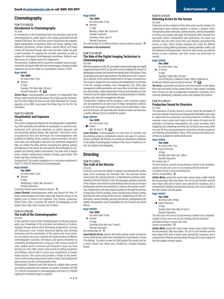## **Cinematography**

#### FILM TV X 478.27A **Introduction to Cinematography** 4.0 units

An introduction to the fundamental tools and principles used by the cinematographer to create digital or film images generated from the context of the story. The curriculum covers visualization, the negative, digital manipulation, sensitometry, filters and lenses, lighting, color, laboratory procedures, camera systems, special effects, and image control—all illustrated through video clips and other media. You gain a solid foundation for applying the concepts presented, as well as prepare for subsequent cinematography workshops. Students must have access to a digital camera for assignments.

*Prerequisite(s):* Students will be required to complete camera assignments that will require both still and moving images. Student-provided equipment can be as simple as a smartphone camera or DSLR.

## **Reg# 385811**

**Fee: \$699**

*No refund after 11 Apr.* ❖ *Remote* 11 mtgs

Tuesday, 7:30-10pm, Mar. 29-June 7 Remote Classroom  $\circledast$ 

*Deland Nuse*, cinematographer and director of independent films whose credits include the indie feature *The Chilling* and the documentary *The Other Bridge*. Mr. Nuse won the Triple Play Award for Cinematography at the 2006 Long Island Film/Video Expo for the film *The Showdown.*

#### FILM TV X 478.27B **Visualization and Exposure** 4.0 units

This course is designed to deepen the cinematographer's understanding of the principles and methods of visualization on-set and in preproduction with particular emphasis on digital exposure and pre-visualizing lighting design and execution. Instruction covers pre-production tools and techniques for cinematographers with emphasis on lighting, lenses, cameras, camera movement, and color. Each week, you participate in exercises and workshops designed to help you master the skills used for visualizing the lighting, camera, and exposure of the scene. You also practice the techniques of composition and framing (interior and exterior). You learn how to design shots, achieve compositional balance, tracking, gear-heads, fluid heads, eye-lines, and two-shots.

*Prerequisite(s):* Successful completion of or concurrent enrollment in FILM TV X 478.27A Introduction to Cinematography.

#### **Reg# 385666**

**Fee: \$699** *No refund after 12 Apr.*

❖ *Remote* 11 mtgs Wednesday, 7-10pm, Mar. 30-June 8

Remote Classroom *Enrollment limited; early enrollment advised.* c

*Lesley Elizondo*, cinematographer, writer, and director for films, TV

series, documentaries and music videos. Ms. Elizondo served on the lighting crew of Francis Ford Coppola's "Live Cinema" production, *Distant Vision*. She is currently the director of photography on the shows *Salem High*, *Fight Forward*, and *Ya Basta*.

#### FILM TV X 478.282 **The Craft of the Cinematographer** 4.0 units

In this capstone course of the Cinematography Certificate program, apply your knowledge of the principles and elements of cinematography through several short filmmaking assignments. Lectures and discussion cover various advanced lighting and shooting techniques and the examination of film genres and visual styles. You are asked to test your creativity and understanding of different cinematography concepts, techniques, and genres presented by completing shooting exercises using your own camera outside of class. Student work is screened and critiqued in class. You must provide your own video camera, have access to editing equipment and software, and be able to output your assignments to various media sources. This course also provides a bridge to the professional world by discussing various paths of entry and employment opportunities into the cinematography field.

*Prerequisite(s):* Students must have access to a digital video camera and editing equipment and software. Successful completion of FILM TV X 478.27A Introduction to Cinematography and FILM TV X 478.283 Lighting for Emotional Impact is required.

## **Reg# 385817**

**Fee: \$999** *No refund after 10 Apr.* ❖ *Remote* 11 mtgs Monday, 7-10pm, Mar. 28-June 6 Remote Classroom Saturday, 2-5pm, Apr. 23 Remote Classroom

*No meeting May 30. Enrollment limited; early enrollment advised.*  $\circledast$ *Instructor to be announced* 

#### FILM TV X 478.301 **The Role of the Digital Imaging Technician in Cinematography**

4.0 units

With the prevalence of HD, 4K, and digital cinema technology, the digital imaging technician (DIT) has become crucial in helping the director of photography achieve and maintain the desired look of the picture. There are growing entry-level opportunities in this field, and the DIT is becoming a vital part of the camera department for all types of productions. The course is designed to train aspiring cinematographers on the tasks of the DIT including workflow, color management, LUTs, ACES, data management, dailies generation, and many other on-set tasks. Instruction also provides a basic introduction to the art and techniques of color correction and the digital intermediate, including tutorials on industryleading color and look management software.

*Prerequisite(s):* Students will be assigned a color correction project and are expected to use some type of image manipulation software to work with the images. Cost-free options will be described in class, and the instructor will work with each student to make sure they have a usable software tool to complete the project.

## **Reg# 385548**

**Fee: \$699** *No refund after 1 Apr.*

m*Online*

Mar. 28-June 12  $\oplus$   $\Box$ 

*Jason Knutzen*, cinematographer on more than 30 narrative and documentary projects, professional colorist, and expert in post-production workflows. Mr. Knutzen is currently an educational contributor to the Global Cinematography Institute in the areas of traditional, virtual, and digital cinematography.

## **Directing**

#### FILM TV X 478.9 **The Craft of the Director** 4.0 units

A director must have the ability to interpret and translate the written ideas of the screenplay into cinematic form. This overview lecture course gives the aspiring director a comprehensive practical understanding of the film director's craft—the language, grammar, and tools of the medium—from the first script reading to the last day of principal photography and into post-production. Lectures, discussions, screenings, assignments, and class projects guide you through the process of preparing a film for shooting. Topics include script analysis, casting, directing the actor, acting for the camera, collaborating with the creative team, camera blocking, planning the shot list, photographing the subtext, film grammar, visual composition, the role of music, and sound effects.

#### **Reg# 385589**

**Fee: \$699**

- *No refund after 15 Apr.*
- ❖ *Remote*
- 10 mtgs
- Saturday, 10am-1pm, Apr. 2-June 11 Remote Classroom

*No meeting May 28.*  $\circledast$ 

*David Martin-Porras*, director and writer whose credits include the shorts *Inside the Box*, which was nominated for a Goya Award, *La Viuda (The Widow),* for which he won the DGA Student Film Award, and *Ida y Vuelta (Round Trip),* which was a finalist for a Student Academy Award.

#### FILM TV X 475.44 **Directing Actors for the Screen**

4.0 units

If directors are the architects of film, then actors are the artisans of a collaborative team working together to realize a singular vision. Through discussions, exercises, casting sessions, and the presentation of scenes, you analyze and apply the directorial skills required for a successful artistic collaboration with performers. You select one dramatic and one comic scene, then cast, rehearse, and present the scenes in class. Topics include analyzing the script, the Method approach to acting, defining objectives, creating dramatic conflict, and the elements of characterization. Actors for class scenes are selected during in-class auditions, and final scenes are performed on camera.

#### **Reg# 385592**

#### **Fee: \$699**

*No refund after 11 Apr.*

- ❖ *In-Person*
	- 11 mtgs
	- Tuesday, 7-10pm, Mar. 29-June 7

UCLA Extension Lindbrook Center: 10920 Lindbrook Dr.

*Enrollment limited; early enrollment advised.*  $\oplus$   $\Box$ *Tim Arvin*, screenwriter and director who has worked in both feature films and new media. He has written films for major studios, including Sony Pictures, as well as independent production companies. He is currently developing a television series and multiple film projects.

## FILM TV X 476.271

#### **Production Sound for Directors** 2.0 units

The importance of quality sound in a movie cannot be overstated. Of particular interest to directors and independent filmmakers who want to understand the production and post-production workflow, this overview course covers such topics as the nature of sound and its aesthetics, microphone characteristics, the sound recording chain, budgeting and scheduling, and what can be fixed in post versus what can only be done during production*.* Instruction includes equipment and listening demonstrations. Many of the practical techniques presented are suitable for student productions.

#### **Reg# 385618 Fee: \$499**

*No refund after 7 Apr.*

- L *Hybrid (Remote)*
- 4 mtgs

Sunday, 10am-2pm, Apr. 3-May 1

Remote Classroom

*No meeting Apr. 17.*

*The third meeting consists of asynchronous content to be completed outside of Zoom and a one-on-one meeting with the instructor scheduled during or around meeting time.*

#### *Visitors not permitted.*  $\oplus$

*Ashley Maria*, production sound mixer whose many credits include the documentary *Take Every Wave: The Life of Laird Hamilton* and the short *Night Shift*, both of which were selected for Sundance, and a commercial for Reebok starring Ronda Rousey. She is the recipient of the DGA student minority award.

## **Reg# 385619**

**Fee: \$499**

*No refund after 19 May.* L *Hybrid (Remote)*

4 mtgs

Sunday, 10am-2pm, May 15-June 5

Remote Classroom

*The third class will consist of asynchronous content to be completed outside of Zoom and a one-on-one meeting with the instructor scheduled during or around class time.*

*Visitors not permitted.*  $\circledast$ 

*Ashley Maria*, production sound mixer whose many credits include the documentary *Take Every Wave: The Life of Laird Hamilton* and the short *Night Shift*, both of which were selected for Sundance, and a commercial for Reebok starring Ronda Rousey. She is the recipient of the DGA student minority award.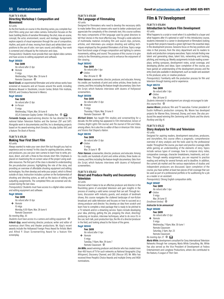#### FILM TV X 476.95 **Directing Workshop I: Composition and Movement**

4.0 units

As the first hands-on course in the directing series, you complete four short films using your own video camera. Instruction focuses on the basic building blocks of narrative filmmaking: the shot, mise-en-scene, concept, the actor, environment, sound, and montage. Assignments explore aspects of visual expression through the use of composition, rhythm, and point-of-view; moving from black and white/silent compositions to the use of color; non-sync sound; and editing. Your work is screened and critiqued by the instructor and class.

*Prerequisite(s):* Students must provide their own digital video camera and have access to editing equipment and software.

#### **Reg# 385620**

#### **Fee: \$699**

*No refund after 12 Apr.*

❖ *Remote*

11 mtgs Wednesday, 7-10pm, Mar. 30-June 8 Remote Classroom  $\circledast$ 

*Navid Sinaki*, an experimental filmmaker and artist whose works have screened at museums and art houses around the world, including Moderna Museet in Stockholm, Lincoln Center, British Film Institute, REDCAT, and Cineteca Nacional in Mexico.

## **Reg# 385642**

**Fee: \$699**

*No refund after 12 Apr.*

❖ *In-Person*

11 mtgs

Wednesday, 7-10pm, Mar. 30-June 8

UCLA Extension Gayley Center: 1145 Gayley Ave.  $\bigoplus$ *Fernando Scarpa*, award-winning director. He has directed for the

national Italian Television RaiUno and the German ZDF and SAT1. Alongside work in documentaries and film, he is developing projects based on his award-winning short *Doradus,* his play *Galileo 1610*, and a feature *The Book of Ronnie.*

## FILM TV X 476.39 **Making Your First Short Film**

4.0 units

Always wanted to make your own short film but thought you had no experience and no money? In this class for aspiring directors, writers, and producers, you use your own camera to learn how to write, produce, direct, and edit a three-to-five-minute short film. Emphasis is placed on maximizing the on-screen value of the project using available resources. The first part of the class is devoted to understanding the pre-production process, highlighting the role of the story, and providing an overview of affordable shooting equipment and editing technologies. You then develop and write your project, which is filmed outside of class. Instruction includes a primer on the fundamentals of shooting and directing actors, as well as the basics of editing and outputting assignments. The completed films are screened and discussed during the last class.

*Prerequisite(s):* Students must have access to a digital video camera and editing equipment and software.

## **Reg# 385646**

**Fee: \$699** *No refund after 10 Apr.* ❖ *Remote*

10 mtgs

Monday, 6:30-10pm, Mar. 28-June 6

Remote Classroom

*No meeting May, 30.*

*Students must have access to a camera and editing equipment.* c *Arkesh Ajay*, award-winning director, producer, writer and editor of numerous short films and theater productions. Mr. Ajay's recent awards include the Hollywood Foreign Press Award for Artistic Merit and Alfred P. Sloan Screenwriting Award for a feature film screenplay.

#### FILM TV X 476.581 **The Language of Filmmaking** 4.0 units

Designed for filmmakers who need to develop the necessary skills to make better films and viewers who want to better understand and appreciate the complexity of the cinematic text, this course outlines the many components of film language used by great directors to tell their stories in the most effective way. Through a wide selection of multimedia material—including film and sound clips, pictures, articles, and interviews—you analyze shooting and editing techniques employed by the greatest filmmakers of all time. Topics range from functional usage of image composition and lighting to camera movements, editing, and sound. The purpose of this course is to give clarity to the filmmaking process and to enhance the enjoyment of film viewing.

## **Reg# 385543**

**Fee: \$699**

*No refund after 1 Apr.* m*Online*

Mar. 28-June 12  $\circledR$ 

*Peter Hanson*, screenwriter, director, producer, and educator. Among his credits are hundreds of print and online articles, three books on cinema, and films including the feature-length documentary *Tales from the Script*, which features interviews with dozens of Hollywood screenwriters.

## **Reg# 385598**

- **Fee: \$699** *No refund after 13 Apr.*
- ❖ *Remote*
- 11 mtgs
- Thursday, 7-10pm, Mar. 31-June 9
- Remote Classroom  $\circledast$

*Michael Green*, has taught film studies and screenwriting for a decade. His film writing has appeared in *Film International*, *Senses of Cinema*, *Bright Lights Film Journal*, and *The Journal of Film and Video*, among others. He is also the co-editor of *Race in American Film: Voices and Visions that Shaped a Nation*.

#### **Reg# 386316**

- **Fee: \$699**
	- *No refund after 13 Apr.*
- m*Online*
- 11 mtgs Mar. 31-June  $9 \oplus$

*Peter Hanson*, screenwriter, director, producer, and educator. Among his credits are hundreds of print and online articles, three books on cinema, and films including the feature-length documentary *Tales from the Script*, which features interviews with dozens of Hollywood screenwriters.

### FILM TV X 478.432 **Direct and Produce Reality and Documentary Television**

4.0 units

Discover what it takes to be an effective producer and director in the flourishing genre of unscripted television and gain insights in the process of creating a valid series concept that can sell. Through lectures, discussion with industry guests, and analysis of landmark shows, this course navigates the cluttered landscape of non-fiction broadcast and cable television and focuses on how to succeed as a strong producer and director. You develop an idea from scratch and learn how to complete a total package that is ready to be pitched to a TV network and/or a streaming service. Topics include developing your idea, pitching, getting the job, prepping the shoot, directing/ producing on location, interview techniques, what to do once it's in the can, tech talk, post-production tips, the life of a director/producer in the field, and looking ahead to the future of the genre.

#### **Reg# 385140 Fee: \$699**

- *No refund after 11 Apr.*
- ❖ *Remote*
- 11 mtgs
- Tuesday, 7-10pm, Mar. 29-June 7 Remote Classroom  $\circledast$

**Jim Milio**, award-winning producer and director who has created more than 400 hours of TV for such networks as National Geographic (*Dog Whisperer*), Discovery Channel, and CBS (*Rescue 911*). Mr. Milio has received three People's Choice Awards and multiple Emmy and WGA nominations.

## **Film & TV Development**

FILM TV X 476.894

#### **Introduction to Feature Film Development** 4.0 units

What happens to a script or novel when it is submitted to a buyer and what happens after it's optioned or sold? In this introductory course, students interested in a career in development or filmmakers looking to guide their projects towards a green light learn the essential steps in the development process. Sessions focus on the key positions and roles in that process, from the story department and its readers to studio and production company executives. Topics include finding new talent and generating ideas, talent lists, networking and tracking, pitching, and moving up. Weekly assignments include reading screenplays, writing synopses, development notes, script coverage, and developing pitches and ideas. Upon completion of the course, you have gained an understanding of the development process and the entry-level jobs available in development, such as reader and assistant to the producer, actor, or creative producer.

*Prerequisite(s):* Familiarity with the production process for film and television through training and/or experience.

## **Reg# 385723**

**Fee: \$699** *No refund after 1 Apr.*

- m*Online*
- Mar. 28-June 12

*Students interested in development are strongly encouraged to take this course first.*  $@$ 

*Joanne Moore*, producer, film and TV executive. Former president of Dustin Hoffman's production company, Ms. Moore has developed projects for Warner Bros, Universal, Disney, and more. She also produced the award-winning film *Swimming with Sharks* and the shorts *Rockboy* and *Big Al*.

#### FILM TV X 476.22

#### **Story Analysis for Film and Television** 4.0 units

Designed for aspiring readers, development executives, producers, and storytellers, this course offers a pragmatic, comprehensive overview of story analysis and the tools used by the professional reader. Throughout the course, you learn and practice coverage skills while gaining an understanding of the elements of story. Topics include various types of coverage, how to compose story notes, comparative coverage, character breakdowns, treatments, and outlines. Through weekly assignments, you are required to practice reading and writing for several formats and to deadline. In addition, the current job market and the various expectations of studios and independent producers are discussed. Upon completion of the course, you have written at least two pieces of full coverage that can be used as part of a professional portfolio or for auditioning for a job as a reader or an assistant.

*Prerequisite(s):* Strong English composition skills.

#### **Reg# 385687**

**Fee: \$699**

- *No refund after 1 Apr.*
- m*Online*
	- 11 mtgs
	- Mar. 28-June 12

*Enrollment limited.*  $@b$ 

#### *Instructor to be announced*

## **Reg# 385680**

- **Fee: \$699**
- *No refund after 12 Apr.*
- ❖ *Remote*
	- 11 mtgs Wednesday, 7-10pm, Mar. 30-June 1
- Remote Classroom
- 
- Saturday, 2-5pm, Apr. 23 Remote Classroom
- *No meeting Apr. 27.*  $\oplus$   $\Box$

*Marla White*, development consultant for Sony International Television Networks through her company, Marla White Consulting. Ms. White has also served as the Vice President of Development at Fedora Entertainment and Longbow Productions, where she contributed to the feature, *A League of Their Own*.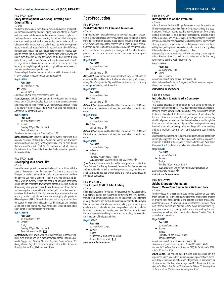#### FILM TV X 476.244 **Story Development Workshop: Crafting Your Original Story**

4.0 units

Producers, development executives, directors, and writers gain practical experience adapting and developing their own stories for motion pictures, movies-of-the-week, and miniseries. Emphasis is placed on studying dramatic structure, learning techniques that strengthen character development, and understanding the importance of collaboration with writers. You are called upon to write development notes; compile directors/writers lists; and learn the difference between beat sheets, step outlines, and story outlines. You also learn how to assess the marketplace by determining what network and studio executives are looking for, as well as the best way to quickly and effectively pitch an idea. You are welcome to submit written works in progress for in-class critiques. At the end of the course, you have honed your storytelling craft by writing original treatments based on your story outline developed in class.

*Prerequisite(s):* Good written communication skills. Previous training in story analysis is recommended but not required.

#### **Reg# 385551**

**Fee: \$699**

*No refund after 1 Apr.*

m*Online*

Mar. 28-June 12 *Enrollment limited; early enrollment advised.*  $\bigoplus$ 

**Scott Agostoni**, SVP of Development & Production and in-house consultant at Dick Cook Studios. Scott also runs his own management and consulting practice. Previously, Mr. Agostoni was a Motion Picture

& TV literary/graphic novel agent with WME and Non-scripted & Alternative TV agent with WMA. **Reg# 385590**

#### **Fee: \$699**

*No refund after 11 Apr.*

❖ *Remote*

Tuesday, 7-10pm, Mar. 29-June 7 Remote Classroom

*Enrollment limited; early enrollment advised.* c

*Kate Schumaecker*, a television producer for over 15 years, was most recently President of Cloud Nine Productions where she developed numerous shows including *First Lady, Cascadia,* and *I'm Fine.* Before that she was President of Tall Girl Productions and VP at Universal Cable Productions. She will be Executive Producer on the upcoming Hulu series *Woke.*

#### FILM TV X 476.243 **Developing Your Short Film** 4.0 units

Learn the development process as it relates to short films with the focus on developing a short film treatment, first draft, and second draft. You gain an understanding of the basics of story structure and how the specific storytelling elements—theme, plot, characters, and dialogue—work in synergy toward the goal of an effective short story. Topics include character development, creating realistic dialogue, discovering what you are driven to say through your story's theme, and planning the scenes with a limited budget in mind. Lectures and exercises illustrated with film clips and readings emphasize the role of story, creating original characters and developing plot points for different genres of films. You submit your work-in-progress throughout the quarter for evaluation and feedback by the instructor and the class. At the end of the course, you have honed your idea and have a final short script or treatment ready for shooting.

## **Reg# 385688**

- **Fee: \$699**
- *No refund after 11 Apr.*
- ❖ *Remote*
	- 11 mtgs
- Tuesday, 7-10pm, Mar. 29-June 7
- Remote Classroom  $\oplus$   $\Box$

*Cynthia Riddle*, MFA award-winning writer/producer, former development exec at MGM and WGA member whose credits include *Crossroads, Puppy Love, Brittany Murphy Story and Poisoned Love: The Stacey Castor Story.* She has written projects for Netflix, Showtime, Disney, Lifetime, Starz, Hallmark and others.

## **Post-Production**

## FILM TV X 404A

#### **Post-Production for Film and Television** 4.0 units

Emphasizing how new technologies continue to impact post-production, this course provides an overview of the post-production pipeline from dailies through delivery. Class topics include a step-by-step overview of each stage of the process and building the post-production team: editors, audio mixers, composers, sound-designers, visual effects artists, and post-production management. The latest trends in post-production are covered. Instruction may include guest speakers.

## **Reg# 385215**

**Fee: \$699** *No refund after 1 Apr.*

m*Online*

Mar. 28-June 12  $\circledR$ 

*Barry Goch*, post-production professional with 15 years of hands-on

experience. His credits include *Spiderman: Homecoming, Passengers, Money Monster, Eye in the Sky, and Game of Thrones.* He is currently working on *Black-ish*, and *Grown-ish*.

#### **Reg# 385277 Fee: \$699**

- *No refund after 1 Apr.*
- m*Online*

Mar. 28-June 12  $\circledast$ 

*Robert Scheid*, Apple-certified Final Cut Pro, Motion, and DVD Studio Pro instructor; television producer; film and television editor and colorist.

#### **Reg# 385278**

**Fee: \$699**

*No refund after 1 Apr.*

m*Online*

Mar. 28-June 12  $\circledast$ 

*Robert Scheid*, Apple-certified Final Cut Pro, Motion, and DVD Studio Pro instructor; television producer; film and television editor and colorist.

### **Reg# 385136**

**Fee: \$699** *No refund after 13 Apr.*

- ❖ *In-Person*
- 11 mtgs
	-
	- Thursday, 7-10pm, Mar. 31-June 9

UCLA Extension Gayley Center: 1145 Gayley Ave.  $\circledast$ *Tyler Danna*, filmmaker who has edited and produced content for Sony Pictures, Fox, Disney, Universal, Fremantle, Riot Games, Verizon, and more. He offers training in editing software: Avid, Premiere, and

Final Cut Pro. He has also written pilots and feature screenplays for

## production companies. FILM TV X 479.613

#### **The Art and Craft of Film Editing** 4.0 units

Editing is storytelling. Throughout the process, from first assembly to final delivery, editors are responsible for fulfilling the film's potential through a full command of craft, as well as an aesthetic understanding of story, character, and rhythm. By examining different editing styles, this course covers the elements of storytelling, performance, pace, emotion, action, continuity, and time manipulation. Instruction includes lectures, discussion, and viewing exercises. You also learn to select the most appropriate editing systems and technology by evaluating the limitations of budgets and time.

## **Reg# 385647**

**Fee: \$699** *No refund after 12 Apr.* ❖ *Remote* 11 mtgs Wednesday, 7-10pm, Mar. 30-June 8 Remote Classroom  $\oplus$   $\Box$ 

*Instructor to be announced* 

#### FILM TV X 477.84 **Introduction to Adobe Premiere** 4.0 units

Adobe Premiere Pro is used by professionals across the spectrum of filmed entertainment, including feature films, music videos, and documentaries. You learn how to use this powerful program, from simple editing techniques to more complex compositing, layering, tilting, motion graphics, and sound design. Instruction includes illustrated lectures, demonstrations, discussion, and class projects. Topics include starting a project, organization and subclipping, timeline and basic editing tools, editing audio, video effects, color correction and grading, titles and motion, exporting, and posting online.

*Prerequisite(s):* You are required to have a working, current copy of Adobe Premiere Pro CC, as well as have video and audio files ready for use while learning Adobe Premiere Pro.

## **Reg# 385650**

**Fee: \$699** *No refund after 1 Apr.* m*Online*

Mar. 28-June 12

*Enrollment limited; early enrollment advised.* c *Note: Video and audio files will be provided to students for completion of course assignments.* 

#### *Instructor to be announced*

#### FILM TV X 479.28

#### **Introduction to Avid Media Composer** 4.0 units

This course provides an introduction to Avid Media Composer, an industry-standard non-linear film/video editing application. This longstanding editing software is affordable, has easy-to-use video editing tools, and streamlined HD, file-based, and stereo 3D workflows. You learn to cut scenes from sample footage and gain an understanding of editorial processes and workflow. Instruction leads you through the interface and basic editing techniques before moving on to trimming, fine-tuning the edit, adjusting audio, handling multi-camera editing, adding transitions, adding titles, and outputting your finished project.

*Prerequisite(s):* Background in editing, production, or post-production is strongly suggested. You must have access to a Mac laptop with a minimum of 20 GB of free space, a power adapter, and Avid Media Composer 7 or 8 (installed and fully updated) and headphones.

## **Reg# 385712**

- **Fee: \$699**
- *No refund after 11 Apr.*
- ❖ *Remote*
- 11 mtgs

Tuesday, 7-10pm, Mar. 29-June 7 UCLA Extension Lindbrook Center: 10920 Lindbrook Dr.

*Early enrollment advised.*  $\oplus$ 

*Instructor to be announced* 

#### FILM TV X 477.851

## **Adobe Character Animator:**

#### **How to Make Your Characters Walk and Talk** 4.0 units

You have ideas for amazing animated stories, but how do you make them come to life? In this course, you learn the step by step process of creating your first animation, and explore the tools professional animators use on TV shows such as *The Simpsons*, *The Late Show with Stephen Colbert*, and *Tooning Out the News*. Topics include rigging your characters, creating walk cycles, and crafting lip sync animation, as well as using other tools in Adobe Creative Cloud, to assemble a video story.

## **Reg# 385713**

- **Fee: \$699**
- *No refund after 13 Apr.*
- ❖ *Remote* 11 mtgs
	- Thursday, 7-10pm, Mar. 31-June 9 Remote Classroom
- *Enrollment limited; early enrollment advised.* c

*This course requires access to After Effects 2021, Adobe Media Encoder 2021, Adobe Character Animator 2021, Adobe Illustrator 2021, Adobe Photoshop 2021*

*David Dodds*, Los Angeles-based motion graphics designer; his experience spans a decade in motion graphics, special effects, broadcast design, character animation, and infographics. He has worked for studios such as Stardust, Mirada, Logan, and NFL Networks. Author of *Hands-On Motion Graphics with Adobe After Effects CC: Develop Your Skills as a Visual Effects and Motion Graphics Artist.*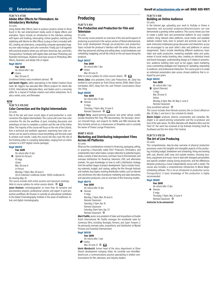#### FILM TV X 477.85

## **Adobe After Effects for Filmmakers: An Introductory Workshop**

4.0 units

Using Adobe After Effects, learn to produce projects similar to those found in the real entertainment media world of digital effects and animation. Topics include an introduction to the interface, working with layers and masking, rotoscoping, motion graphics, tracking and stabilizing with Mocha for After Effects (a plug-in that is included with AE), creating set extensions, compositing computer-generated imagery over video footage, and color correction. Finally, put it all together with practical projects where you will learn shortcuts, tips, and tricks. *Prerequisite(s):* Familiarity with digital video and basic Photoshop and Illustrator techniques. Students must have access to Photoshop, After Effects, Illustrator, and Adobe CS6 or higher.

## **Reg# 385714**

#### **Fee: \$699**

*No refund after 1 Apr.*

m*Online* Mar. 28-June 12

*Enrollment limited; early enrollment advised.*  $\oplus$ 

*Joel Austin Higgins*, editor specializing in the Adobe Creative Cloud Suite. Mr. Higgins has executed After Effects projects for clients like D.A.R.E. International, Mercedes-Benz, and Hasbro and is a recurring editor for a myriad of YouTube creators and online enterprises. He is also a writer, actor, and filmmaker.

## **NEW**

#### FILM TV X 478.314C **Color Correction and the Digital Intermediate** 4.0 units

One of the last and most crucial steps of post-production is color correction (the digital intermediate). This course will cover how color correction fits into the workflow of post, including discussion and workshops on how to complete a conform and the role of the Online Editor. The majority of the course will focus on the role of the Colorist, from a technical and aesthetic approach; examining how color correction can be used to enhance visual storytelling, and the tools used to achieve such results. Lastly, this course will also cover the role of the finishing editor in compiling deliverables, ranging from an online screener to a DCP (digital cinema package).

## **Reg# 385970**

#### **Fee: \$699**

- *No refund after 10 Apr.*
- F *Hybrid (In-Person)*
	- 10 mtgs
	- *Online*
	- Mar. 28-June 6
	- *In-Person*

Monday, 7-10pm, Mar. 28-June 6

UCLA Extension Lindbrook Center: 10920 Lindbrook Dr. *No meeting May 30.*

*This course includes both online sessions and classroom meetings. Refer to course syllabus for online session details.*  $\oplus \ \Box$ 

*Jason Knutzen*, cinematographer on more than 30 narrative and documentary projects, professional colorist, and expert in post-production workflows. Mr. Knutzen is currently an educational contributor to the Global Cinematography Institute in the areas of traditional, virtual, and digital cinematography.

## **Producing**

## FILM TV X 404

## **Pre-Production and Production for Film and Television**

#### 4.0 units

This survey course presents an overview of the real-world aspects of producing as practiced in the various sectors of filmed entertainment, from script development through pre-production and production. Topics include the producer's interface with the writer, director, and other key personnel; pitching and selling ideas; script breakdown and scheduling; budgeting; and all the critical on-the-set issues facing the producer.

#### **Reg# 385137**

**Fee: \$699**

*No refund after 1 Apr.* m*Online*

Mar. 28-June 12

*Refer to course syllabus for online session details.*  $\oplus \ \Omega$ 

*Amotz Zakai*, vice president, Echo Lake Productions. Mr. Zakai has worked on such projects as *Tsotsi* (Oscar winner, 2006), *Water* (Oscar nominated, 2007), *Away from Her*, and *Thirteen Conversations About One Thing*.

## **Reg# 385591**

- **Fee: \$699**
- *No refund after 13 Apr.*
- ❖ *Remote*
- 11 mtgs Thursday, 7-10pm, Mar. 31-June 9
- Remote Classroom  $\oplus$   $\Box$

*Bridget Terry*, award-winning producer and writer whose credits include Showtime film *They,* PBS documentary *The Kennedys: America's Emerald Kings,* and projects for Netflix and NBC-Universal. Ms. Terry formerly served as a showrunner at Showtime and is currently the owner of Chaise Lounge Productions.

#### MGMT X 403.61

## **Marketing and Distributing Independent Films Across All Platforms**

4.0 units

What are the considerations involved in financing, packaging, selling, or acquiring a financially viable film? Producers, filmmakers, and screenwriters learn what makes a project attractive to potential buyers, study a variety of deal structures, and learn how to find domestic and overseas distribution for theatrical, television, DVD, and alternative markets. You gain knowledge on how to craft a distribution strategy from the earliest stages of project development. Topics include choosing materials, budget, and casting; selling the film through festivals and markets; key buyers; evolving distribution outlets, such as Internet and cell phones; the roles of producer, marketing and sales executives, and executive producers; and an overview of film financing models.

#### **Reg# 385774 Fee: \$699**

- *No refund after 10 Apr.*
- ❖ *Remote*
- 11 mtgs
- Monday, 7-10pm, Mar. 28-June 6
- Remote Classroom
- Saturday, 2-5pm, Apr. 16
- Remote Classroom
- Saturday, 10am-5pm, Apr. 23 Remote Classroom  $\oplus$

*Mark Padilla*, senior vice president of Sales and Acquisitions at Double Dutch International. Mr. Padilla manages the worldwide sales for numerous films, including *Nostalgia*, *Romans*, and *Super Troopers 2*. He previously oversaw sales, acquisitions, and distribution at Myriad Pictures and Essential Entertainment.

## **Reg# 385138**

- **Fee: \$699** *No refund after 3 Apr.* m*Online*
- Mar. 30-June 12  $\oplus \ \blacksquare$

*Kevin Mardesich*, former head of the story department at Oliver Stone's development company, Ixtlan. He currently runs KevinMardesich.com, a communications practice specializing in written communications for film, television, and industry leaders.

## **52** [Entertainment](https://www.uclaextension.edu/entertainment) Enroll at [uclaextension.edu](https://www.uclaextension.edu/) or call (800) 825-9971

#### FILM TV X 408

#### **Building an Online Audience** 4.0 units

In the Internet age, uploading your work to YouTube or Vimeo is imperative, and successful producers/directors/actors can now demonstrate a growing online audience. This course shows you how to create a public face and promotional platform for your creative content. Using relevant video platforms, social media, and available website creation tools, learn to present and promote your body of work. Instruction emphasizes group discussion and interaction, as you are encouraged to use each other's sites and platforms in various assignments. Topics include identifying different audiences; basic video and audio production; mastering available video and audio; review of social media branding sites; creating an individual brand and brand messages; understanding design as it relates to presentation; audience building tools such as fan pages, tweet marketing, cross-commenting strategies and "response-to" uploading; responding to audience; and professional interaction. The course goal is to create an individual presentation plan across chosen platforms that is critiqued by your peers.

#### **Reg# 385142**

**Fee: \$699**

- *No refund after 1 Apr.*
- L *Hybrid (Remote)* 3 mtgs
	- Mar. 28-June 12 **Online**

Monday, 6-9pm, Mar. 28; May 2; June 6 Remote Classroom

*Early enrollment advised.*  $\circledast$ 

*This course includes three Remote sessions (live on Zoom) offered on Mar. 28, May 2, and June 6. See schedule for details.* 

*Noemi Zeigler*, producer, director, screenwriter, and comedian. Ms. Zeigler is an award-winning screenwriter and the co-producer and host of the web series, *The Minx Mandate with Madeline Minx* and *Hot Flash AF*. Her work has screened at top festivals including South by Southwest and the Ann Arbor Film Festival.

#### FILM TV X 478.13A

#### **The Art of Line Producing** 4.0 units

This comprehensive, step-by-step overview of physical production processes covers the tangible and intangible aspects of line producing, including budget; breakdown and scheduling; hiring and working with cast, director, staff, crew, and outside vendors; choosing locations; equipment and music; how to deal with divergent personalities and specific problem solving during production; and the differences between producing a movie independently versus with a studio. The course also includes a comprehensive introduction to Movie Magic scheduling software. *This is not an introduction to production course. Prerequisite(s):* A basic knowledge of film production is highly recommended.

#### **Reg# 385601**

**Fee: \$699** *No refund after 13 Apr.* ❖ *Remote* 11 mtgs Thursday, 7-10pm, Mar. 31-June 9

Remote Classroom <sup>(1)</sup>

*Instructor to be announced*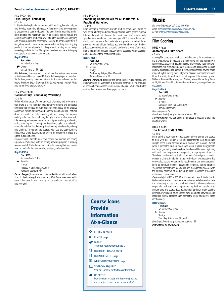## Enroll at [uclaextension.edu](https://www.uclaextension.edu/) or call (800) 825-9971 [Entertainment](https://www.uclaextension.edu/entertainment) **53**

## FILM TV X 476.6 **Low-Budget Filmmaking**

4.0 units

In this detailed exploration of low-budget filmmaking, learn techniques and theories examining all phases of the process, from development to production to post-production. The focus is on translating a minimum budget into maximum quality on screen. Topics include the script, financing the production, evaluating the marketplace, analyzing and breaking down the screenplay, learning to apply creativity to a budgetary plan to maximize on-screen value, casting, selecting key production personnel, production design, music, editing, sound design, marketing, and distribution. Throughout the class, you are able to apply concepts learned to your own projects.

## **Reg# 385726**

**Fee: \$699** *No refund after 1 Apr.*

m*Online*

Mar. 28-June 12  $\oplus$   $\Box$ 

*Kim Adelman*, filmmaker who co-produced the independent feature *Just Friends* and has produced 19 shorts that have played in more than 150 festivals, winning more than 30 awards. She has authored two film books, *Making It Big in Shorts* and *The Ultimate Guide to Chick Flicks*, and currently writes for *Indiewire*.

#### FILM TV X 478.481

#### **Documentary Filmmaking Workshop** 4.0 units

Today, with hundreds of cable and web channels, and more on the way, there is a real need for documentary programs and dedicated filmmakers to produce them. In this course you focus on the creative aspects of writing, directing, and shooting documentaries. Lectures, discussion, and practical exercises guide you through the steps of making a documentary, including the right research, what to include, interviewing techniques, narrative techniques, outlining a shooting script, prepping and planning your first shoot, laying out a shooting schedule and shot list, directing, B-roll, writing an edit script, editing, and pitching. Throughout the quarter, you have the opportunity to shoot three short documentaries which are screened in class and edited outside of class.

*Prerequisite(s):* Students must have access to a camera and editing equipment. Proficiency with an editing software program is strongly recommended. Students are responsible for making their work available on media for in-class viewing, analysis, and evaluation.

## **Reg# 385735**

**Fee: \$699**

- *No refund after 11 Apr.*
- ❖ *Remote* 11 mtgs

Tuesday, 7-10pm, Mar. 29-June 7 Remote Classroom  $\circledR$ 

*Farzad Sangari*, filmmaker who has worked in both film and television. His feature-length documentary, *Mudbloods*, was selected to several film festivals. Most recently, he has produced content for Vice and Viceland.

### FILM TV X 475 **Producing Commercials for All Platforms: A Practical Workshop**

4.0 units

From concept to completion, learn to produce commercials for TV as well as for all integrated marketing platforms (video games, cinema, Internet, TV, and cell phones). You break down storyboards; write specifications; create bids; estimate special FX, editorial, talent, and music; and prepare a final estimate and production schedule for presentation and critique in class. You also learn how to get the best prices, stay on budget and schedule, and use the tools of advanced media. Instruction includes industry guest speakers with discussion and screenings of the best current spots.

## **Reg# 385753**

**Fee: \$699** *No refund after 12 Apr.*

- ❖ *Remote*
	- 11 mtgs

Wednesday, 7-10pm, Mar. 30-June 8 Remote Classroom  $@$ 

*Howard Woffinden*, producer for commercials, music videos, and documentaries. Mr. Woffinden is currently a commercial line producer at Chelsea Pictures whose clients include Chantix, CVS, Gillette, United Airlines, Ford Motors, and Dixie paper products.

## **Music**

*For more information call (310) 825-9064, email [entertainmentstudies@uclaextension.edu](mailto:entertainmentstudies%40uclaextension.edu?subject=Music%20Courses), or visit [entertainment.uclaextension.edu.](https://entertainment.uclaextension.edu/)* 

## **Film Scoring**

#### MUSC X 482.8 **Anatomy of a Film Score**

#### 4.0 units

Aspiring film composers, producers, and directors gain an understanding of what makes an effective and memorable film score and how it is assembled. Weekly in-depth film score analyses are illustrated with recordings, film clips, documentary footage, and discussions focused on how music is used as subtext in films. Film selections cover a broad range of styles moving from Hollywood classics to recently released films. The ability to read music is not required. Film scores by John Williams, Bernard Herrmann, Max Steiner, Miklos Rozsa, Jerry Goldsmith, Michael Giacchino, James Newton Howard, among others, are discussed.

## **Reg# 385446**

- **Fee: \$699** *No refund after 15 Apr.*
- ❖ *Remote*
- 10 mtgs

Saturday, 10am-1pm, Apr. 2-June 11

- Remote Classroom
- *No meeting May 28.*

*Enrollment limited; early enrollment advised.* c

*Steve Rothstein*, PhD, composer of numerous orchestral, choral, and chamber works

#### MUSC X 449.91 **The Art and Craft of MIDI**

## 4.0 units

Learn to bring your electronic realizations of your demos and scores to more vivid life. Through take-home assignments, learn to produce sample-based "cues" that sound more musical and realistic. Student work is presented and critiqued each week in class. Assignments involve programming selections from the classical literature, beginning with small chamber pieces and progressing to large symphonic works. The class culminates in a final assignment of an original orchestral cue set to picture. In addition to the aesthetics of synthestration, this course also covers project studio requirements and considerations, such as computer choices, sequencing software, sample libraries, "electronic" orchestration techniques, and mixing techniques, all with the primary objective of producing "musical" facsimiles of acoustic instrument performances.

*Prerequisite(s):* MUSC X 483.43 Instrumentation and Introduction to Orchestration and/or prior experience in instrumentation and orchestral composing. Access to and proficiency in using a home studio with sequencing software and samples are required for completion of assignments. The course does not include instruction in any specific software. Participants must already have adequate knowledge and resources to MIDI program short orchestral works and deliver these electronically.

#### **Reg# 385336**

**Fee: \$699** *No refund after 13 Apr.* ❖ *Remote* 11 mtgs Thursday, 3-6pm, Mar. 31-June 9 *Enrollment limited; early enrollment advised.*  $\bigoplus$ 

*Instructor to be announced* 

Course Icons Provide Information At-a-Glance

## **W** IN-PERSON, page 1. REMOTE, page 1. **SPL** ONLINE Technical requirements, page 1. **G** HYBRID (IN-PERSON), page 1. **LE** HYBRID (REMOTE), page 1. WEB-ENHANCED COURSE, page 1. **EQ TEXTBOOK REQUIRED** Visit our *website* for textbook information. C UC CREDIT May be transferable to other colleges and universities.,Learn more on our *website*.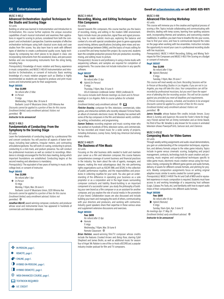#### MUSC X 483.2

## **Advanced Orchestration: Applied Techniques for the Studio and Scoring Stage**

4.0 units

Building on what was learned in Instrumentation and Introduction to Orchestration, this course further explores the unique evocative capabilities of each musical instrument and examines their applications in regard to scoring to picture, considered from both the composer's and orchestrator's perspective. Examine examples of effective orchestration techniques using both classical score study and case studies from film scores. You also learn how to work with different types of sketches to create a professional quality score. Apply techniques by composing two short pieces to be played in class: one incorporating instruments from the woodwind, brass, and percussion families and one incorporating instruments from the string family, including harp.

*Prerequisite(s):* Knowledge of music notation and theory, experience in music composition, and MUSC X 483.43 Instrumentation and Introduction to Orchestration, or consent of instructor. Basic working knowledge of a music notation program such as Sibelius is highly recommended as students are required to produce and print music scores and instrumental parts for their assignments.

### **Reg# 385505**

#### **Fee: \$1,999**

*No refund after 23 Mar.*

❖ *In-Person*

11 mtgs

Wednesday, 7-10pm, Mar. 30-June 8

Burbank: Local 47 Musicians Union, 3220 Winona Ave *Discounts cannot be applied to a portion of fees for this course. Enrollment limited; early enrollment advised. Visitors not permitted.*  $\oplus$ 

*Instructor to be announced* 

#### MUSC X 498.3 **Fundamentals of Conducting: From the Symphony to the Scoring Stage** 4.0 units

Learn the fundamentals of conducting taught by a professional film and concert conductor. You will practice all aspects of baton technique, including beat patterns, irregular meters, and contrasting articulations/gestures. You will work on cueing, conducting to picture, conducting to a click track, and podium presence. You will conduct live professional musicians as well as conduct to recordings. Attendance is strongly encouraged for the first class meeting, during which important foundations are established. Conducting begins at the second meeting and attendance is mandatory.

*Prerequisite(s):* The equivalent of two years of training in music at the college level, or consent of instructor.

## **Reg# 385410**

**Fee: \$1,999** *No refund after 1 Apr.*

❖ *In-Person*

10 mtgs Monday, 7-10pm, Mar. 28-June 6

Burbank: Local 47 Musicians Union, 3220 Winona Ave

*Discounts cannot be applied to a portion of fees for this course. Enrollment limited; early enrollment advised. Visitors not permitted.*  $\bigoplus$ 

*Jonathan Merrill*, award-winning composer, conductor, and producer whose vocal and instrumental music has appeared in hundreds of commercials and television episodes.

## **V** IN-PERSON, page 1.

- **\*** REMOTE, page 1.
- **MONLINE**, page 1.
- **G** HYBRID (IN-PERSON), page 1.
- **HYBRID** (REMOTE), page 1.
- **ED WEB-ENHANCED COURSE, page 1.**
- **EQ TEXTBOOK REQUIRED**
- **CREDIT**

### MUSC X 449.41 **Recording, Mixing, and Editing Techniques for Film Composers**

4.0 units

Geared towards film composers, this course teaches you the basics of recording, mixing, and editing in the modern DAW environment. Topics include music pre-production, signal flow and signal processing, how to create realistic mock-ups, exploring the balance and context of a mix with special consideration given to genre-appropriate sound mixing, delivery specifications (including stem mixes and session interchange between DAWs), and the basics of music editing for a scored film and temp-tracked film project. By course end, students learn the complete production process from pre-production, recording, mixing, and editing music to picture.

*Prerequisite(s):* Access to and proficiency in using a home studio with sequencing software, and samples are required for completion of assignments. The course does not include instruction in any specific software.

## **Reg# 385337**

#### **Fee: \$699**

- *No refund after 13 Apr.*
- F *Hybrid (In-Person)* 11 mtgs
	- Thursday, 7-10pm, Mar. 31-June 9
	-

UCLA Extension Lindbrook Center: 10920 Lindbrook Dr. *This course includes both Remote meetings via Zoom and In-Person meetings in Los Angeles. Refer to course syllabus for schedule details.* 

*Enrollment limited; early enrollment advised.*  $\oplus \ \Box$ *Fletcher Beasley*, composer for film, television, commercials, video games, and interactive exhibits who recently released *Fictional Radio,*

an album of cinematic electronic music. Mr. Beasley has worked with some of the top composers in the film and television world, contributing writing, orchestration, and programming. *Damon Tedesco*, recording engineer and music scoring mixer who

has worked on hundreds of films, television series, and commercials. He has recorded and mixed music for a wide variety of projects, including *Animaniacs, Looney Tunes, Family Guy, American Dad* among many others.

#### MUSC X 448.171 **The Business of Film Music** 4.0 units

Focusing on the vital business skills needed to build and maintain your career as a film and television composer, this course features comprehensive coverage of current business and financial practices in the industry. You learn about the role of agents, managers, and lawyers; making the most advantageous deal; the role performing rights organizations such as ASCAP, BMI, and SESAC in the collection of public performance royalties; and the responsibilities and procedures in collecting royalties for your work. You also gain an understanding of the difference in operating your business as a sole proprietor or as a corporation and in the legal issues surrounding composer contracts and liability. Brand-building is an important component of a successful career: you study the philosophy of building your own brand as a film composer or as an assistant for another composer, and you explore the role of social media in the promotion of your brand. Collaboration issues are also discussed and include building your team and managing the work of others, communicating with your directors and producers, and working with contractors. Industry guest speakers share their expertise in these various areas and supplement extensive discussions and exercises.

#### **Reg# 385504**

- **Fee: \$699**
- *No refund after 12 Apr.*
- ❖ *Remote*
- 11 mtgs
- Wednesday, 7-10pm, Mar. 30-June 8 Remote Classroom  $\oplus$

*Brian Ralston*, award-winning film/TV composer whose credits include the features *Crooked Arrows* and *Being Rose*, starring Cybil Shepherd and James Brolin, as well as additional music for season four of *Angel.* Mr. Ralston is one of the co-hosts of*SCOREcast*, a popular industry-insider podcast for film and TV composers.

## **54** [Entertainment](https://www.uclaextension.edu/entertainment) Enroll at [uclaextension.edu](https://www.uclaextension.edu/) or call (800) 825-9971

MUSC X 498

#### **Advanced Film Scoring Workshop** 4.0 units

This course will immerse you in the creative and logistical process of scoring a film. Topics include collaborating and communicating with directors, dealing with temp scores, learning how spotting sessions work, incorporating themes and variations, and overcoming creative roadblocks. In addition, you learn how to breathe life into your scores, how to find your voice, and how to communicate beyond the notes on the page when working with live ensembles. Instruction includes the opportunity to record your cues in a professional recording studio with live musicians.

*Prerequisite(s):* MUSC X 449.41 Recording, Editing, and Mixing Techniques for Film Composers and MUSC X 483.1 Film Scoring on a Budget or consent of instructor.

## **Reg# 385507**

**Fee: \$1,999** *No refund after 11 Apr.*

- L *Hybrid (Remote)*
	- 11 mtgs
	- Tuesday, 7-10pm, Mar. 29-June 7

*This course will meet weekly via Zoom. Recording Sessions will be In-Person at Recording Studios in Los Angeles. If you are not in Los Angeles, you may still take this class. Your compositions can still be recorded by professional musicians, but you won't have the experience of attending the live recording session. This will not be counted against you provided you meet all deadlines and requirements. In-Person recording sessions, schedule, and locations to be arranged. Discounts cannot be applied to a portion of fees for this course. Enrollment limited; early enrollment advised. Visitors not permitted.*  $\bigoplus$ 

*James Venable*, whose feature film credits include *Venom, Scary Movie 5, Eurotrip*, and *Supercon*. His score for *Foster's Home for Imaginary Friends* earned him an Emmy nomination and an Annie Award, his third of four. Mr. Venable is also known for his scores in animated television shows *Powerpuff Girls, Samurai Jack*, and *Clarence*.

#### MUSC X 478.52

#### **Composing Music for Video Games** 4.0 units

Through weekly writing assignments and audio-visual demonstrations, you gain an understanding of the composition techniques, organization, and delivery formats unique to the video game industry. Topics include in-game versus cinematic scoring, budgeting and project management, contracts, technology tools for asset creation and processing, music engines and compositional techniques specific to video game music, electronic music creation versus using live musicians, mixing, composing for different game genres and audio formats, delivery of assets for different console formats, and pitching for projects. Weekly composition assignments focus on writing original adaptive music similar to works created for current games.

*Prerequisite(s):* MUSC X 449.91 The Art and Craft of MIDI and/or equivalent experience in music composition is required. Students must have access to and working knowledge of a sequencing host software (Logic, Cubase, Pro Tools, etc.) and familiarity with how to export audio mixes of their compositions into different audio formats.

#### **Reg# 385586 Fee: \$699**

*No refund after 16 Apr.* L *Hybrid (Remote)* 11 mtgs Sunday, 10am-2pm, Apr. 3-June 12 *No meetings Apr. 17: May 29. Enrollment limited; early enrollment advised.*  $\bigoplus$ *Instructor to be announced*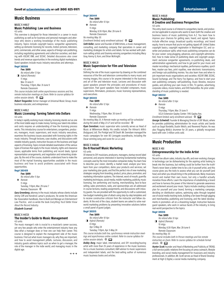## **Music Business**

## MUSC X 448.17 **Music Publishing: Law and Business**

4.0 units

This overview is designed for those interested in a career in music publishing as well as for business and personal managers and attorneys who desire a working knowledge of the music publishing industry. Topics include copyright basics; songwriter agreements; setting up domestic licensing for records, motion pictures, television, print, commercials, and other areas; aspects of foreign sub-publishing, including negotiating agreements and collection societies; and dealing with ASCAP, BMI, and SESAC. Detailed discussions also cover trends and revenue opportunities in the evolving digital marketplace. Guest speakers include music industry executives and attorneys.

#### **Reg# 385506**

**Fee: \$699**

*No refund after 13 Apr.* L *Hybrid (Remote)* 11 mtgs Mar. 31-June 9 Thursday, 7-10pm, Mar. 31-June 9

Remote Classroom

*This course includes both online asynchronous sessions and live, remote instruction meetings on Zoom. Refer to course syllabus for online session details.*  $\oplus$   $\Box$ 

*Robert Teegarden*, former manager at Universal Music Group, music business educator, and entrepreneur.

#### MUSC X 449.2

#### **Music Licensing: Turning Talent into Dollars** 4.0 units

In today's rapidly evolving music industry, licensing stands out as one of the most stable ways to make money. Turning your talent into dollars and cents requires an understanding of how the licensing process works. This introductory course for entertainers, songwriters, producers, managers, music supervisors, and music industry executives, examines the business issues associated with licensing rights in the music industry. Through lectures, case studies, and discussions with notable industry guests, instruction focuses on the business and legal aspects of licensing. Topics include detailed examination of the various types of licenses that apply to the music industry, rights and clearance issues, applicable terms from publishing and record deals, typical representation arrangements, and negotiation and networking strategies. By the end of the course, students understand how to make the most of the myriad licensing opportunities available in the music business and how to avoid problems associated with those opportunities.

## **Reg# 385409**

**Fee: \$699** *No refund after 11 Apr.*

❖ *Remote*

11 mtgs Tuesday, 7-10pm, Mar. 29-June 7 Remote Classroom  $\oplus$ 

*Gary Greenberg*, attorney in the music industry whose clients include Jimmy Cliff and Kendrick Lamar's producers. He wrote the American Bar Association handbook, *How to Build and Manage an Entertainment Law Practice,* and co-wrote the book *Everything You'd Better Know About the Record Industry*.

#### *Elizabeth Scarnati*

#### MUSC X 447.31

#### **The Insider's Guide to Music Management** 4.0 units

The music manager's role is crucial to a musician's career success, yet very few people who enter the entertainment industry have any idea what a manager does or how one can help their career. This course is designed to explain the management side of the music business. Find out what music managers do, why they are important, and how to avoid management pitfalls. Lectures, discussion, and industry guests address topics such as when to get a manager, the role of the manager in the indie world, and managing music in the digital age.

## **Reg# 385444**

**Fee: \$699** *No refund after 10 Apr.* ❖ *Remote* 11 mtgs Monday, 6:30-10pm, Mar. 28-June 6 Remote Classroom *No meeting May 30.*

*Enrollment limited; early enrollment advised.*  $\oplus$ 

*Seth Keller*, owner and founder of SKM Artists, a music management, consulting, and marketing company that specializes in career and marketing strategies for artists and labels. He has worked with platinum-selling artists and Grammy-winning songwriters including Macy Gray, Kenny G, Korn, and Brian McKnight.

### MUSC X 484.31

#### **Music Supervision for Film and Television** 4.0 units

Defining the role of the music supervisor by drawing on the combined resources of the film and television communities to marry music and moving images, this course is for anyone interested in the business and art of film and television music. Lectures and discussion with guest speakers present the principles and procedures of music supervision. Past guest speakers have included composers, music supervisors, filmmakers, producers, music licensing representatives, and executives.

#### **Reg# 385443**

**Fee: \$699**

*No refund after 12 Apr.* ❖ *Remote*

11 mtgs

Wednesday, 7-10pm, Mar. 30-June 8 Remote Classroom

*No meeting May 25. A Remote make-up meeting will be scheduled*  during the week of May 23-27 and will be recorded.

*Ryan Svendsen*, music supervisor who currently serves as Head of Music at Millennium Media. His credits include *The Hitman's Wife's Bodyguard, Jolt, The Protégé* and *Till Death*. Mr. Svendsen managed the music campaigns for over 80 Lionsgate soundtracks, including the Oscar winning song and score for *La La Land*.

#### MUSC X 448.80 **Do-It-Yourself Music Marketing**

#### 4.0 units

Of interest to DIY musicians, producers, managers, startup record label personnel, and anyone interested in learning fundamental marketing concepts used by the most innovative companies today. You learn how to describe your vision; identify a market need; analyze your fans; learn from your competitors; demo your products and services; set your marketing plan goals; and find the perfect mix of new marketing strategies ranging from branding, product, price, place, promotion, and marketing information systems. The Internet, word-of-mouth, guerrilla marketing techniques, social media, mobile marketing, publicity, music licensing, live performing and touring, merchandising, face-to-face selling, sales promotions, radio, and sponsorships are all addressed in course lectures, reading assignments, and discussions with industry guests. You are provided with the opportunity to craft a customized, low-budget marketing plan of attack using step-by-step templates and to receive constructive criticism from the instructor and fellow students. At the end of the class, student teams are asked to solve realworld marketing problems by presenting innovative solutions before a small panel of guest judges.

## **Reg# 385515**

#### **Fee: \$699**

- *No refund after 18 Apr.*
- L *Hybrid (Remote)*
	- 8 mtgs
	- Apr. 5-May 24
	- Tuesday, 7-10pm, Apr. 5-May 24

*This course includes both live, synchronous remote instruction meetings and asynchronous online content. Refer to course syllabus for online session details.*  $\oplus$   $\Box$ 

*Bobby Borg*, major label, international, and DIY recording/touring artist with more than 25 years of experience in the music business. He is a music business consultant, A&R advisor to music supervisors and independent labels, and the best-selling author of numerous music business books and articles.

#### MUSC X 448.81 **Music Publishing: A Creative and Business Perspective** 4.0 units

This entry-level course is of interest to songwriters, bands, and producers but applicable to anyone who wants to learn both the creative and business basics of music publishing from A-Z. You learn how to improve your chances for getting seen, heard, and signed. Topics include effective songs, broadcast quality recordings, and brand equity; how to ensure that you're not getting ripped off: United States copyright basics, copyright registration in Washington D.C. and cowriter and producer splits; what music publishing companies can do for your career: song-plugging, advances, and copyright administration; how to make sense of publishing deals and copyright assignment: exclusive songwriter agreements, co-publishing deals, and administration agreements; and how to get paid for your music and master recordings: mechanical royalties, performance royalties, synch fees, master-use fees, print royalties, new electronic transmissions, and foreign sub-publishing monies. You also learn how and when to join important music organizations and societies: ASCAP, BMI, SESAC, Sound Exchange, and The Harry Fox Agency; and how to start your own publishing company: self-publishing, music libraries, resource guides, and pitching your own music in film, TV, games, advertising, corporate videos, movie trailers, and DVD featurettes. No prior understanding of music publishing is needed.

#### **Reg# 386332 Fee: \$699**

*No refund after 13 Apr.*

- ❖ *Remote*
- 11 mtgs
- Thursday, 7-10pm, Mar. 31-June 9

UCLA Extension Gayley Center: 1145 Gayley Ave. *Enrollment limited; early enrollment advised.*  $\oplus$   $\Box$ 

*George Schwindt*, Founder & Managing Director of 26F Music, where

he provides publishing administration for music artists and bands such as Gogol Bordello, Dustin Welch, and Reverend Peyton. He was also Flogging Molly's drummer for 20 years, a globally recognized band with over 3 million units sold.

## **Music Production**

## MUSC X 451 **Entrepreneurship for the Indie Artist**

4.0 units

Record-low album sales, industry lay-offs, and ever-evolving changes in technology can be disheartening for the aspiring artist looking to break into the business, but nothing could be further from the truth! There's never been a better time to be a do-it-yourself artist, and this course gives you the tools to assess what you can do yourself (and how) and when you should bring in the professionals. Many musicians record and market their own music, but only a handful actually monetize those efforts. Learn the importance of establishing a brand and how to harness the power of the Internet to generate awareness and excitement around your music. Topics include creating a business plan for yourself and your brand, forming a marketing campaign, deciding on distribution options, optimizing sales through targeted use of social media tracking tools, building a fan base through gigging and merchandise, publishing and licensing, and the latest developments in promotion—all on a shoestring budget. Instruction features guest speakers, who work in various facets of the industry, to bring real-world perspective to the topics.

## **Reg# 385516**

## **Fee: \$699**

*No refund after 10 Apr.* L *Hybrid (Remote)* 10 mtgs

Monday, 6:30-10pm, Mar. 28-June 6 Remote Classroom

*No meeting May 30.*

*This course includes both In-Person meetings and live remote instruction on Zoom. Refer to course syllabus for schedule format details.*  $\oplus$   $\Box$ 

*Hunter Scott*, founder and Head of Marketing and Publicity at TREND, a full-service public-relations firm focusing on press outreach, lifestyle branding, and social media management for musicians and industry professionals. In addition, Mr. Scott serves as Head of Brand Development at High Q Digital, a social media marketing company.